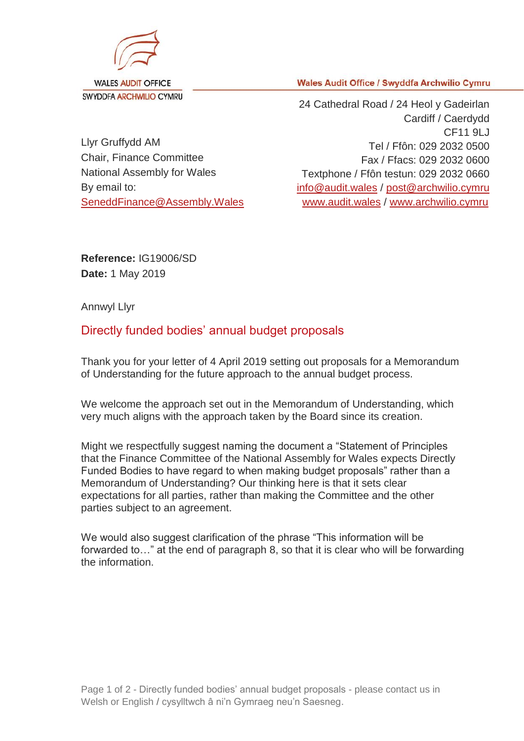

**Wales Audit Office / Swyddfa Archwilio Cymru** 

Llyr Gruffydd AM Chair, Finance Committee National Assembly for Wales By email to: [SeneddFinance@Assembly.Wales](mailto:SeneddFinance@Assembly.Wales)

24 Cathedral Road / 24 Heol y Gadeirlan Cardiff / Caerdydd CF11 9LJ Tel / Ffôn: 029 2032 0500 Fax / Ffacs: 029 2032 0600 Textphone / Ffôn testun: 029 2032 0660 [info@audit.wales](mailto:info@audit.wales) / post@archwilio.cymru [www.audit.wales](http://www.audit.wales/) / [www.archwilio.cymru](http://www.archwilio.cymru/)

**Reference:** IG19006/SD **Date:** 1 May 2019

Annwyl Llyr

## Directly funded bodies' annual budget proposals

Thank you for your letter of 4 April 2019 setting out proposals for a Memorandum of Understanding for the future approach to the annual budget process.

We welcome the approach set out in the Memorandum of Understanding, which very much aligns with the approach taken by the Board since its creation.

Might we respectfully suggest naming the document a "Statement of Principles that the Finance Committee of the National Assembly for Wales expects Directly Funded Bodies to have regard to when making budget proposals" rather than a Memorandum of Understanding? Our thinking here is that it sets clear expectations for all parties, rather than making the Committee and the other parties subject to an agreement.

We would also suggest clarification of the phrase "This information will be forwarded to…" at the end of paragraph 8, so that it is clear who will be forwarding the information.